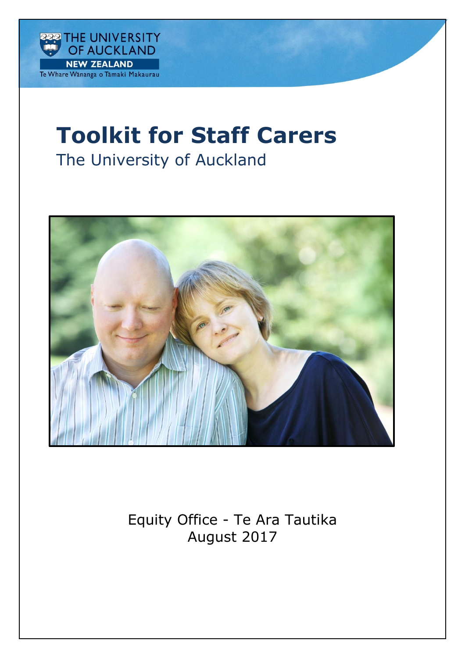

# **Toolkit for Staff Carers**

# The University of Auckland



Equity Office - Te Ara Tautika August 2017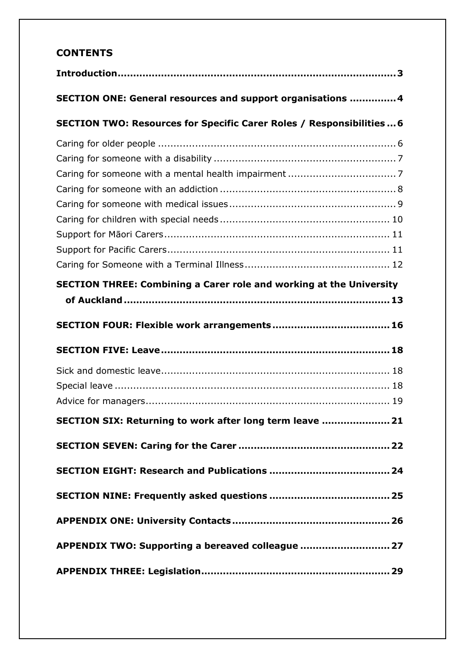# **CONTENTS**

| SECTION ONE: General resources and support organisations  4                |
|----------------------------------------------------------------------------|
| SECTION TWO: Resources for Specific Carer Roles / Responsibilities  6      |
|                                                                            |
|                                                                            |
|                                                                            |
|                                                                            |
|                                                                            |
|                                                                            |
|                                                                            |
|                                                                            |
|                                                                            |
| <b>SECTION THREE: Combining a Carer role and working at the University</b> |
|                                                                            |
|                                                                            |
|                                                                            |
|                                                                            |
|                                                                            |
|                                                                            |
|                                                                            |
| SECTION SIX: Returning to work after long term leave  21                   |
|                                                                            |
|                                                                            |
|                                                                            |
|                                                                            |
|                                                                            |
| APPENDIX TWO: Supporting a bereaved colleague  27                          |
|                                                                            |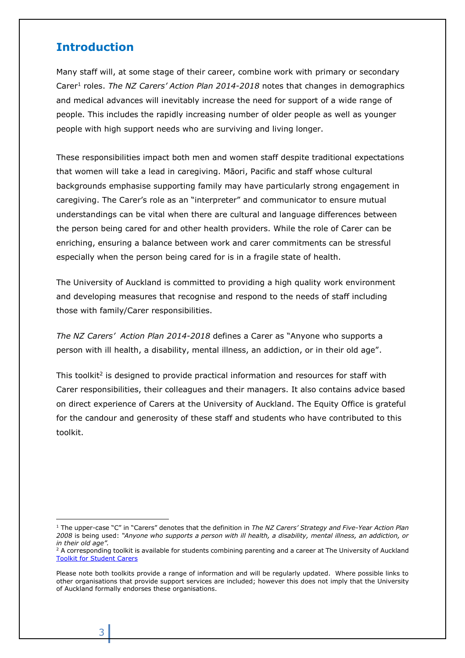## <span id="page-2-0"></span>**Introduction**

Many staff will, at some stage of their career, combine work with primary or secondary Carer<sup>1</sup> roles. *The NZ Carers' Action Plan 2014-2018* notes that changes in demographics and medical advances will inevitably increase the need for support of a wide range of people. This includes the rapidly increasing number of older people as well as younger people with high support needs who are surviving and living longer.

These responsibilities impact both men and women staff despite traditional expectations that women will take a lead in caregiving. Māori, Pacific and staff whose cultural backgrounds emphasise supporting family may have particularly strong engagement in caregiving. The Carer's role as an "interpreter" and communicator to ensure mutual understandings can be vital when there are cultural and language differences between the person being cared for and other health providers. While the role of Carer can be enriching, ensuring a balance between work and carer commitments can be stressful especially when the person being cared for is in a fragile state of health.

The University of Auckland is committed to providing a high quality work environment and developing measures that recognise and respond to the needs of staff including those with family/Carer responsibilities.

*The NZ Carers' Action Plan 2014-2018* defines a Carer as "Anyone who supports a person with ill health, a disability, mental illness, an addiction, or in their old age".

This toolkit<sup>2</sup> is designed to provide practical information and resources for staff with Carer responsibilities, their colleagues and their managers. It also contains advice based on direct experience of Carers at the University of Auckland. The Equity Office is grateful for the candour and generosity of these staff and students who have contributed to this toolkit.

3

 $\overline{a}$ 

<sup>1</sup> The upper-case "C" in "Carers" denotes that the definition in *The NZ Carers' Strategy and Five-Year Action Plan 2008* is being used: *"Anyone who supports a person with ill health, a disability, mental illness, an addiction, or in their old age".*

<sup>&</sup>lt;sup>2</sup> A corresponding toolkit is available for students combining parenting and a career at The University of Auckland [Toolkit for Student Carers](https://cdn.auckland.ac.nz/assets/auckland/about-us/equity-at-the-university/equity-information-staff/information-for-carers/toolkit-for-student-carers.pdf)

Please note both toolkits provide a range of information and will be regularly updated. Where possible links to other organisations that provide support services are included; however this does not imply that the University of Auckland formally endorses these organisations.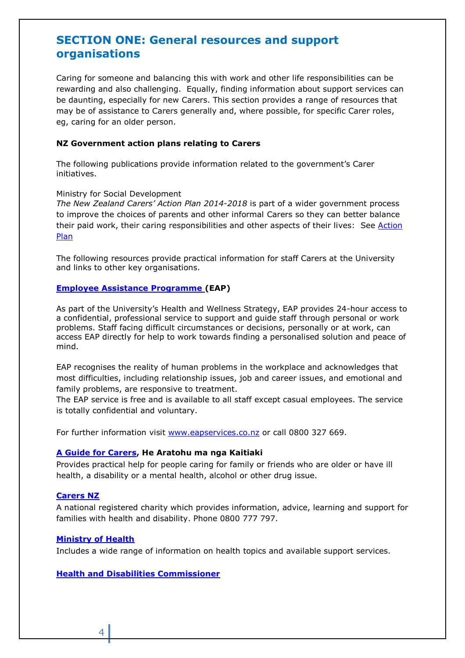# <span id="page-3-0"></span>**SECTION ONE: General resources and support organisations**

Caring for someone and balancing this with work and other life responsibilities can be rewarding and also challenging. Equally, finding information about support services can be daunting, especially for new Carers. This section provides a range of resources that may be of assistance to Carers generally and, where possible, for specific Carer roles, eg, caring for an older person.

#### **NZ Government action plans relating to Carers**

The following publications provide information related to the government's Carer initiatives.

#### Ministry for Social Development

*The New Zealand Carers' Action Plan 2014-2018* is part of a wider government process to improve the choices of parents and other informal Carers so they can better balance their paid work, their caring responsibilities and other aspects of their lives: See Action [Plan](http://www.msd.govt.nz/about-msd-and-our-work/work-programmes/policy-development/carers-strategy/)

The following resources provide practical information for staff Carers at the University and links to other key organisations.

#### **[Employee Assistance Programme](http://www.eapservices.co.nz/) (EAP)**

As part of the University's Health and Wellness Strategy, EAP provides 24-hour access to a confidential, professional service to support and guide staff through personal or work problems. Staff facing difficult circumstances or decisions, personally or at work, can access EAP directly for help to work towards finding a personalised solution and peace of mind.

EAP recognises the reality of human problems in the workplace and acknowledges that most difficulties, including relationship issues, job and career issues, and emotional and family problems, are responsive to treatment.

The EAP service is free and is available to all staff except casual employees. The service is totally confidential and voluntary.

For further information visit [www.eapservices.co.nz](http://www.eapservices.co.nz/) or call 0800 327 669.

#### **[A Guide for Carers,](http://www.msd.govt.nz/documents/what-we-can-do/community/carers/carers-brochure-english.pdf) He Aratohu ma nga Kaitiaki**

Provides practical help for people caring for family or friends who are older or have ill health, a disability or a mental health, alcohol or other drug issue.

#### **[Carers NZ](http://www.carers.net.nz/)**

A national registered charity which provides information, advice, learning and support for families with health and disability. Phone 0800 777 797.

#### **[Ministry of Health](http://www.health.govt.nz/)**

Includes a wide range of information on health topics and available support services.

### **[Health and Disabilities Commissioner](http://www.hdc.org.nz/)**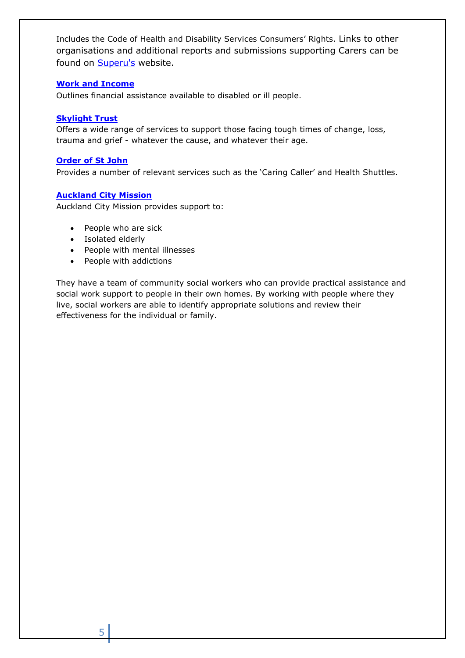Includes the Code of Health and Disability Services Consumers' Rights. Links to other organisations and additional reports and submissions supporting Carers can be found on [Superu's](http://www.superu.govt.nz/) website.

## **[Work and Income](http://www.workandincome.govt.nz/individuals)**

Outlines financial assistance available to disabled or ill people.

## **[Skylight Trust](http://www.skylight.org.nz/)**

Offers a wide range of services to support those facing tough times of change, loss, trauma and grief - whatever the cause, and whatever their age.

## **[Order of St John](http://www.stjohn.org.nz/)**

Provides a number of relevant services such as the 'Caring Caller' and Health Shuttles.

## **[Auckland City Mission](http://www.aucklandcitymission.org.nz/)**

Auckland City Mission provides support to:

- People who are sick
- Isolated elderly
- People with mental illnesses
- People with addictions

They have a team of community social workers who can provide practical assistance and social work support to people in their own homes. By working with people where they live, social workers are able to identify appropriate solutions and review their effectiveness for the individual or family.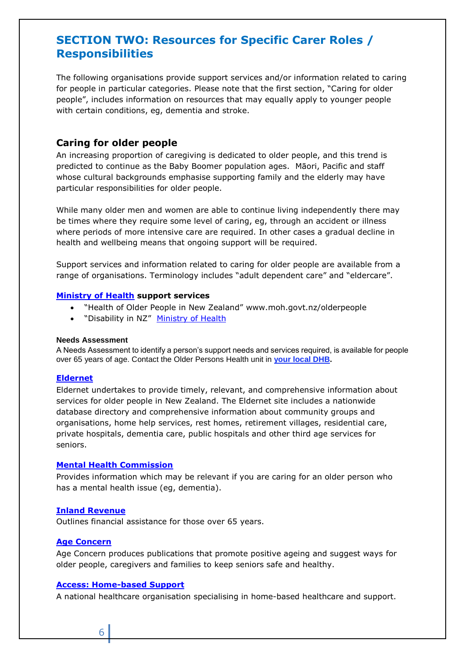# <span id="page-5-0"></span>**SECTION TWO: Resources for Specific Carer Roles / Responsibilities**

The following organisations provide support services and/or information related to caring for people in particular categories. Please note that the first section, "Caring for older people", includes information on resources that may equally apply to younger people with certain conditions, eg, dementia and stroke.

## <span id="page-5-1"></span>**Caring for older people**

An increasing proportion of caregiving is dedicated to older people, and this trend is predicted to continue as the Baby Boomer population ages. Māori, Pacific and staff whose cultural backgrounds emphasise supporting family and the elderly may have particular responsibilities for older people.

While many older men and women are able to continue living independently there may be times where they require some level of caring, eg, through an accident or illness where periods of more intensive care are required. In other cases a gradual decline in health and wellbeing means that ongoing support will be required.

Support services and information related to caring for older people are available from a range of organisations. Terminology includes "adult dependent care" and "eldercare".

#### **[Ministry of Health](http://www.moh.govt.nz/disability) support services**

- "Health of Older People in New Zealand" [www.moh.govt.nz/olderpeople](http://www.moh.govt.nz/olderpeople)
- "Disability in NZ" [Ministry of Health](http://www.moh.govt.nz/disability)

#### **Needs Assessment**

A Needs Assessment to identify a person's support needs and services required, is available for people over 65 years of age. Contact the Older Persons Health unit in **your local [DHB.](http://www.health.govt.nz/new-zealand-health-system/my-dhb)**

#### **[Eldernet](http://www.eldernet.co.nz/Home)**

Eldernet undertakes to provide timely, relevant, and comprehensive information about services for older people in New Zealand. The Eldernet site includes a nationwide database directory and comprehensive information about community groups and organisations, home help services, rest homes, retirement villages, residential care, private hospitals, dementia care, public hospitals and other third age services for seniors.

## **[Mental Health Commission](http://www.mhc.govt.nz/)**

Provides information which may be relevant if you are caring for an older person who has a mental health issue (eg, dementia).

#### **[Inland Revenue](http://www.workandincome.govt.nz/individuals/65-years-or-older/index.html)**

Outlines financial assistance for those over 65 years.

#### **[Age Concern](http://www.ageconcern.org.nz/)**

Age Concern produces publications that promote positive ageing and suggest ways for older people, caregivers and families to keep seniors safe and healthy.

#### **[Access: Home-based Support](http://www.access.org.nz/)**

A national healthcare organisation specialising in home-based healthcare and support.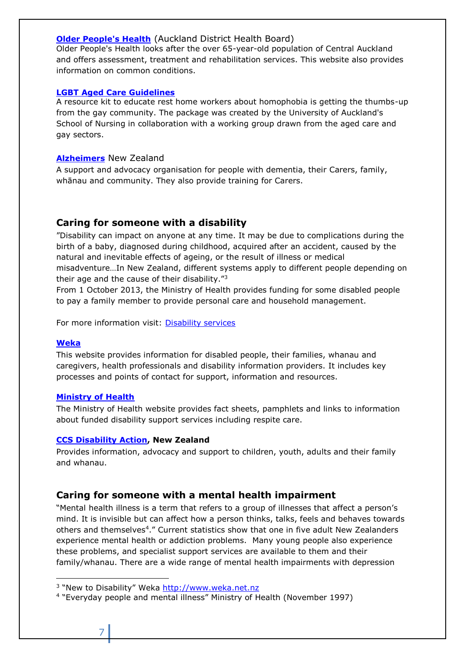## **[Older People's Health](http://www.healthpoint.co.nz/specialists/older-peoples-health/auckland-dhb-a-links-older-peoples-health)** (Auckland District Health Board)

Older People's Health looks after the over 65-year-old population of Central Auckland and offers assessment, treatment and rehabilitation services. This website also provides information on common conditions.

## **[LGBT Aged Care Guidelines](https://www.fmhs.auckland.ac.nz/en/son/about/our-research/research-news-and-events/news/12082013_focus_on_quality.html)**

A resource kit to educate rest home workers about homophobia is getting the thumbs-up from the gay community. The package was created by the University of Auckland's School of Nursing in collaboration with a working group drawn from the aged care and gay sectors.

## **[Alzheimers](http://www.alzheimers.org.nz/)** New Zealand

A support and advocacy organisation for people with dementia, their Carers, family, whānau and community. They also provide training for Carers.

## <span id="page-6-0"></span>**Caring for someone with a disability**

"Disability can impact on anyone at any time. It may be due to complications during the birth of a baby, diagnosed during childhood, acquired after an accident, caused by the natural and inevitable effects of ageing, or the result of illness or medical misadventure…In New Zealand, different systems apply to different people depending on their age and the cause of their disability."<sup>3</sup>

From 1 October 2013, the Ministry of Health provides funding for some disabled people to pay a family member to provide personal care and household management.

For more information visit: [Disability services](http://www.health.govt.nz/your-health/services-and-support/disability-services?icn=yh-disability&ici=readmore)

## **[Weka](http://www.weka.net.nz/)**

This website provides information for disabled people, their families, whanau and caregivers, health professionals and disability information providers. It includes key processes and points of contact for support, information and resources.

## **[Ministry of Health](http://www.moh.govt.nz/moh.nsf/indexmh/disability-news)**

The Ministry of Health website provides fact sheets, pamphlets and links to information about funded disability support services including respite care.

## **[CCS Disability Action,](http://www.ccsdisabilityaction.org.nz/) New Zealand**

Provides information, advocacy and support to children, youth, adults and their family and whanau.

## <span id="page-6-1"></span>**Caring for someone with a mental health impairment**

"Mental health illness is a term that refers to a group of illnesses that affect a person's mind. It is invisible but can affect how a person thinks, talks, feels and behaves towards others and themselves<sup>4</sup>." Current statistics show that one in five adult New Zealanders experience mental health or addiction problems. Many young people also experience these problems, and specialist support services are available to them and their family/whanau. There are a wide range of mental health impairments with depression

 $\overline{a}$ 

<sup>&</sup>lt;sup>3</sup> "New to Disability" Weka [http://www.weka.net.nz](http://www.weka.net.nz/)

<sup>4</sup> "Everyday people and mental illness" Ministry of Health (November 1997)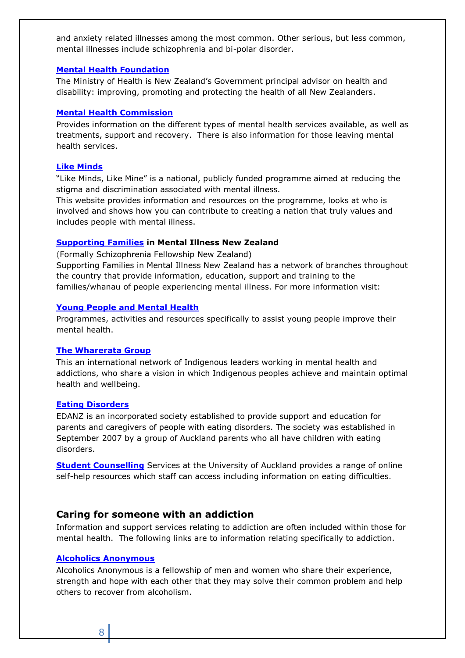and anxiety related illnesses among the most common. Other serious, but less common, mental illnesses include schizophrenia and bi-polar disorder.

#### **[Mental Health Foundation](http://www.mentalhealth.org.nz/)**

The Ministry of Health is New Zealand's Government principal advisor on health and disability: improving, promoting and protecting the health of all New Zealanders.

## **[Mental Health Commission](http://www.mhc.govt.nz/)**

Provides information on the different types of mental health services available, as well as treatments, support and recovery. There is also information for those leaving mental health services.

#### **[Like Minds](https://www.likeminds.org.nz/)**

"Like Minds, Like Mine" is a national, publicly funded programme aimed at reducing the stigma and discrimination associated with mental illness.

This website provides information and resources on the programme, looks at who is involved and shows how you can contribute to creating a nation that truly values and includes people with mental illness.

#### **[Supporting Families](http://www.supportingfamiliesnz.org.nz/) in Mental Illness New Zealand**

(Formally Schizophrenia Fellowship New Zealand)

Supporting Families in Mental Illness New Zealand has a network of branches throughout the country that provide information, education, support and training to the families/whanau of people experiencing mental illness. For more information visit:

## **[Young People and Mental Health](http://www.health.govt.nz/our-work/mental-health-and-addictions/youth-mental-health-project)**

Programmes, activities and resources specifically to assist young people improve their mental health.

#### **[The Wharerata Group](http://thunderbirdpf.org/about-tpf/wharerata/)**

This an international network of Indigenous leaders working in mental health and addictions, who share a vision in which Indigenous peoples achieve and maintain optimal health and wellbeing.

#### **[Eating Disorders](http://www.ed.org.nz/)**

EDANZ is an incorporated society established to provide support and education for parents and caregivers of people with eating disorders. The society was established in September 2007 by a group of Auckland parents who all have children with eating disorders.

**[Student Counselling](https://www.auckland.ac.nz/en/on-campus/student-support/personal-support/student-health-counselling.html)** Services at the University of Auckland provides a range of online self-help resources which staff can access including information on eating difficulties.

## <span id="page-7-0"></span>**Caring for someone with an addiction**

Information and support services relating to addiction are often included within those for mental health. The following links are to information relating specifically to addiction.

## **[Alcoholics Anonymous](http://www.aa.org.nz/)**

Alcoholics Anonymous is a fellowship of men and women who share their experience, strength and hope with each other that they may solve their common problem and help others to recover from alcoholism.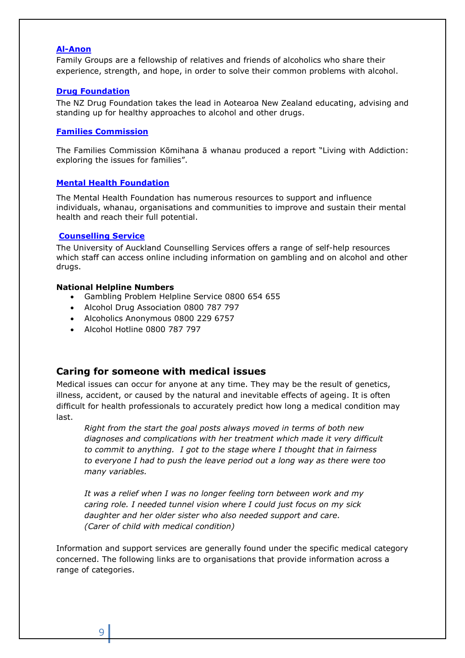#### **[Al-Anon](http://www.al-anon.org.nz/)**

Family Groups are a fellowship of relatives and friends of alcoholics who share their experience, strength, and hope, in order to solve their common problems with alcohol.

#### **[Drug Foundation](https://www.drugfoundation.org.nz/resources/)**

The NZ Drug Foundation takes the lead in Aotearoa New Zealand educating, advising and standing up for healthy approaches to alcohol and other drugs.

## **[Families Commission](http://www.nzfamilies.org.nz/research/alcohol-and-drug-abuse/living-with-addiction)**

The Families Commission Kōmihana ā whanau produced a report "Living with Addiction: exploring the issues for families".

#### **[Mental Health Foundation](https://www.mentalhealth.org.nz/?gclid=Cj0KEQjw2s_MBRC5mpTGvM2F4bUBEiQAmWIac2bFKrFhJMdOjfx7wrsSNURTv4TRwaKMxsu1fR7Fj6kaAjvT8P8HAQ)**

The Mental Health Foundation has numerous resources to support and influence individuals, whanau, organisations and communities to improve and sustain their mental health and reach their full potential.

## **[Counselling Service](https://www.auckland.ac.nz/en/on-campus/student-support/personal-support/student-health-counselling.html)**

The University of Auckland Counselling Services offers a range of self-help resources which staff can access online including information on gambling and on alcohol and other drugs.

#### **National Helpline Numbers**

- Gambling Problem Helpline Service 0800 654 655
- Alcohol Drug Association 0800 787 797
- Alcoholics Anonymous 0800 229 6757
- Alcohol Hotline 0800 787 797

## <span id="page-8-0"></span>**Caring for someone with medical issues**

Medical issues can occur for anyone at any time. They may be the result of genetics, illness, accident, or caused by the natural and inevitable effects of ageing. It is often difficult for health professionals to accurately predict how long a medical condition may last.

*Right from the start the goal posts always moved in terms of both new diagnoses and complications with her treatment which made it very difficult to commit to anything. I got to the stage where I thought that in fairness to everyone I had to push the leave period out a long way as there were too many variables.* 

*It was a relief when I was no longer feeling torn between work and my caring role. I needed tunnel vision where I could just focus on my sick daughter and her older sister who also needed support and care. (Carer of child with medical condition)* 

Information and support services are generally found under the specific medical category concerned. The following links are to organisations that provide information across a range of categories.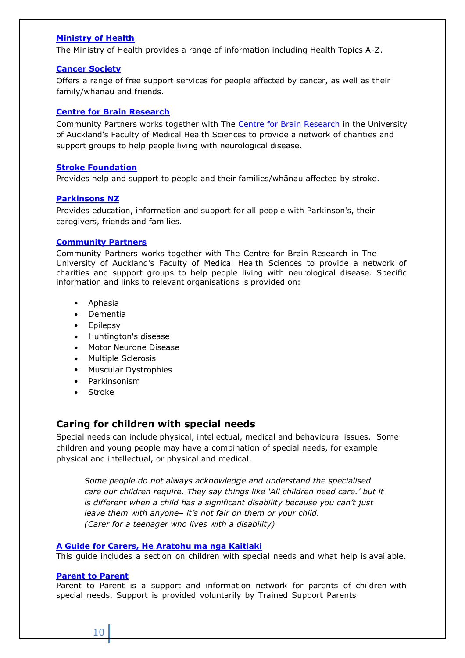## **[Ministry of Health](https://www.health.govt.nz/your-health/full-a-z)**

The Ministry of Health provides a range of information including Health Topics A-Z.

#### **[Cancer Society](http://www.cancernz.org.nz/welcome)**

Offers a range of free support services for people affected by cancer, as well as their family/whanau and friends.

## **[Centre for Brain Research](https://www.fmhs.auckland.ac.nz/en/faculty/cbr.html)**

Community Partners works together with The [Centre for Brain Research](https://www.fmhs.auckland.ac.nz/en/faculty/cbr.html) in the University of Auckland's Faculty of Medical Health Sciences to provide a network of charities and support groups to help people living with neurological disease.

#### **[Stroke Foundation](http://www.stroke.org.nz/)**

Provides help and support to people and their families/whānau affected by stroke.

#### **[Parkinsons NZ](http://www.parkinsons.org.nz/)**

Provides education, information and support for all people with Parkinson's, their caregivers, friends and families.

#### **[Community Partners](http://www.fmhs.auckland.ac.nz/faculty/cbr/about/structure/community.aspx)**

Community Partners works together with The Centre for Brain Research in The University of Auckland's Faculty of Medical Health Sciences to provide a network of charities and support groups to help people living with neurological disease. Specific information and links to relevant organisations is provided on:

- [Aphasia](http://www.fmhs.auckland.ac.nz/faculty/cbr/about/structure/community.aspx#aphasia)
- [Dementia](http://www.fmhs.auckland.ac.nz/faculty/cbr/about/structure/community.aspx#1)
- [Epilepsy](http://www.fmhs.auckland.ac.nz/faculty/cbr/about/structure/community.aspx#2)
- [Huntington's disease](http://www.fmhs.auckland.ac.nz/faculty/cbr/about/structure/community.aspx#3)
- Motor [Neurone](http://www.fmhs.auckland.ac.nz/faculty/cbr/about/structure/community.aspx#4) Disease
- [Multiple Sclerosis](http://www.fmhs.auckland.ac.nz/faculty/cbr/about/structure/community.aspx#5)
- Muscular [Dystrophies](http://www.fmhs.auckland.ac.nz/faculty/cbr/about/structure/community.aspx#6)
- [Parkinsonism](http://www.fmhs.auckland.ac.nz/faculty/cbr/about/structure/community.aspx#7)
- [Stroke](http://www.fmhs.auckland.ac.nz/faculty/cbr/about/structure/community.aspx#8)

## <span id="page-9-0"></span>**Caring for children with special needs**

Special needs can include physical, intellectual, medical and behavioural issues. Some children and young people may have a combination of special needs, for example physical and intellectual, or physical and medical.

*Some people do not always acknowledge and understand the specialised care our children require. They say things like 'All children need care.' but it is different when a child has a significant disability because you can't just leave them with anyone– it's not fair on them or your child. (Carer for a teenager who lives with a disability)*

#### **A Guide for Carers, He [Aratohu ma](http://www.msd.govt.nz/documents/what-we-can-do/community/carers/carers-a4-booklet-v8.pdf) nga Kaitiaki**

This guide includes a section on children with special needs and what help is available.

#### **[Parent to](http://www.parent2parent.org.nz/) Parent**

Parent to Parent is a support and information network for parents of children with special needs. Support is provided voluntarily by Trained Support Parents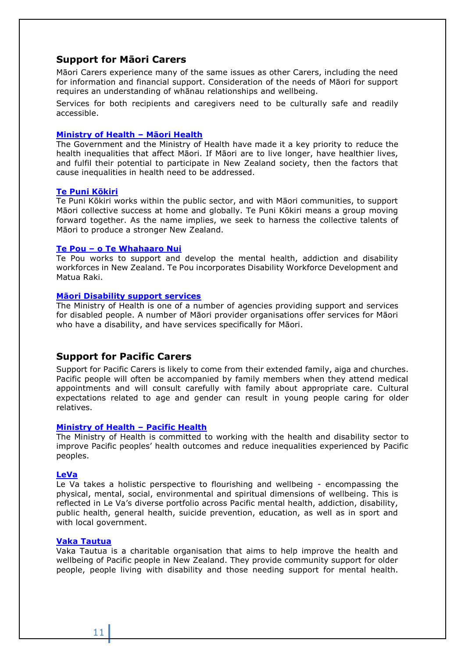## <span id="page-10-0"></span>**Support for Māori Carers**

Māori Carers experience many of the same issues as other Carers, including the need for information and financial support. Consideration of the needs of Māori for support requires an understanding of whānau relationships and wellbeing.

Services for both recipients and caregivers need to be culturally safe and readily accessible.

#### **[Ministry of Health](http://www.health.govt.nz/our-work/populations/maori-health) – Māori Health**

The Government and the Ministry of Health have made it a key priority to reduce the health inequalities that affect Māori. If Māori are to live longer, have healthier lives, and fulfil their potential to participate in New Zealand society, then the factors that cause inequalities in health need to be addressed.

#### **[Te Puni Kōkiri](http://www.tpk.govt.nz/)**

Te Puni Kōkiri works within the public sector, and with Māori communities, to support Māori collective success at home and globally. Te Puni Kōkiri means a group moving forward together. As the name implies, we seek to harness the collective talents of Māori to produce a stronger New Zealand.

#### **Te Pou – [o Te Whahaaro Nui](http://www.tepou.co.nz/)**

Te Pou works to support and develop the mental health, addiction and disability workforces in New Zealand. Te Pou incorporates Disability Workforce Development and Matua Raki.

#### **[Māori Disability support services](http://www.health.govt.nz/our-work/disability-services/maori-disability-support-services)**

The Ministry of Health is one of a number of agencies providing support and services for disabled people. A number of Māori provider organisations offer services for Māori who have a disability, and have services specifically for Māori.

## <span id="page-10-1"></span>**Support for Pacific Carers**

Support for Pacific Carers is likely to come from their extended family, aiga and churches. Pacific people will often be accompanied by family members when they attend medical appointments and will consult carefully with family about appropriate care. Cultural expectations related to age and gender can result in young people caring for older relatives.

#### **[Ministry of Health](http://www.health.govt.nz/our-work/populations/pacific-health) – Pacific Health**

The Ministry of Health is committed to working with the health and disability sector to improve Pacific peoples' health outcomes and reduce inequalities experienced by Pacific peoples.

#### **[LeVa](http://www.leva.co.nz/)**

Le Va takes a holistic perspective to flourishing and wellbeing - encompassing the physical, mental, social, environmental and spiritual dimensions of wellbeing. This is reflected in Le Va's diverse portfolio across Pacific mental health, addiction, disability, public health, general health, suicide prevention, education, as well as in sport and with local government.

#### **[Vaka Tautua](http://www.vakatautua.co.nz/)**

Vaka Tautua is a charitable organisation that aims to help improve the health and wellbeing of Pacific people in New Zealand. They provide community support for older people, people living with disability and those needing support for mental health.

11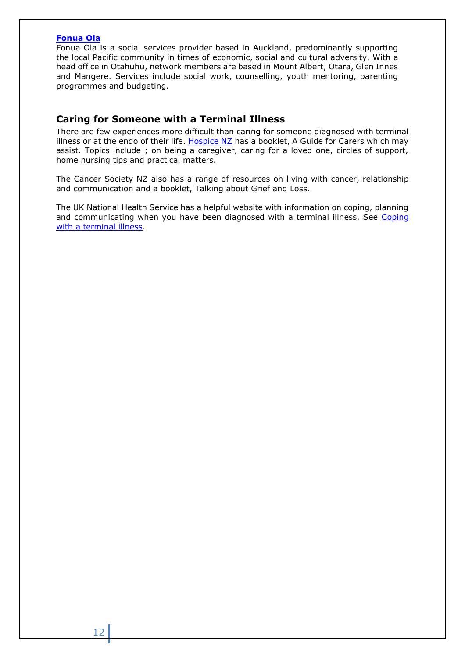## **[Fonua Ola](http://www.fonuaola.org.nz/)**

Fonua Ola is a social services provider based in Auckland, predominantly supporting the local Pacific community in times of economic, social and cultural adversity. With a head office in Otahuhu, network members are based in Mount Albert, Otara, Glen Innes and Mangere. Services include social work, counselling, youth mentoring, parenting programmes and budgeting.

## <span id="page-11-0"></span>**Caring for Someone with a Terminal Illness**

There are few experiences more difficult than caring for someone diagnosed with terminal illness or at the endo of their life. Hospice  $NZ$  has a booklet, A Guide for Carers which may assist. Topics include ; on being a caregiver, caring for a loved one, circles of support, home nursing tips and practical matters.

The Cancer Society NZ also has a range of resources on living with cancer, relationship and communication and a booklet, Talking about Grief and Loss.

The UK National Health Service has a helpful website with information on coping, planning and communicating when you have been diagnosed with a terminal illness. See Coping [with a terminal illness.](http://www.nhs.uk/Planners/end-of-life-care/Pages/Coping-with-a-terminal-illness.aspx)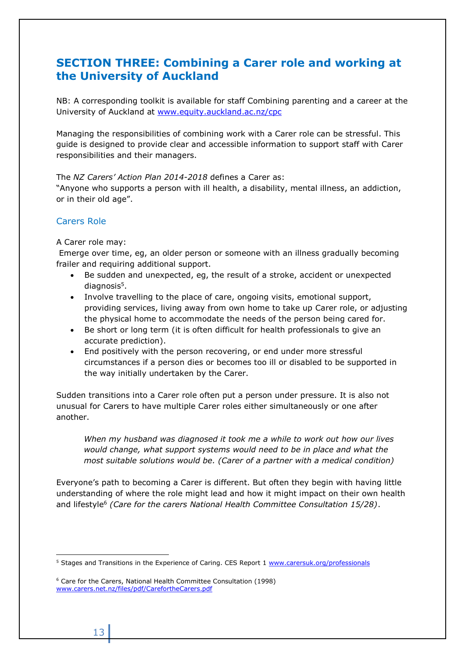# <span id="page-12-0"></span>**SECTION THREE: Combining a Carer role and working at the University of Auckland**

NB: A corresponding toolkit is available for staff Combining parenting and a career at the University of Auckland at [www.equity.auckland.ac.nz/cpc](http://www.equity.auckland.ac.nz/cpc)

Managing the responsibilities of combining work with a Carer role can be stressful. This guide is designed to provide clear and accessible information to support staff with Carer responsibilities and their managers.

The *NZ Carers' Action Plan 2014-2018* defines a Carer as:

"Anyone who supports a person with ill health, a disability, mental illness, an addiction, or in their old age".

## Carers Role

## A Carer role may:

Emerge over time, eg, an older person or someone with an illness gradually becoming frailer and requiring additional support.

- Be sudden and unexpected, eg, the result of a stroke, accident or unexpected diagnosis<sup>5</sup>.
- Involve travelling to the place of care, ongoing visits, emotional support, providing services, living away from own home to take up Carer role, or adjusting the physical home to accommodate the needs of the person being cared for.
- Be short or long term (it is often difficult for health professionals to give an accurate prediction).
- End positively with the person recovering, or end under more stressful circumstances if a person dies or becomes too ill or disabled to be supported in the way initially undertaken by the Carer.

Sudden transitions into a Carer role often put a person under pressure. It is also not unusual for Carers to have multiple Carer roles either simultaneously or one after another.

*When my husband was diagnosed it took me a while to work out how our lives would change, what support systems would need to be in place and what the most suitable solutions would be. (Carer of a partner with a medical condition)*

Everyone's path to becoming a Carer is different. But often they begin with having little understanding of where the role might lead and how it might impact on their own health and lifestyle<sup>6</sup> *(Care for the carers National Health Committee Consultation 15/28)*.

 $\overline{a}$ <sup>5</sup> Stages and Transitions in the Experience of Caring. CES Report 1 [www.carersuk.org/professionals](http://www.carersuk.org/professionals)

<sup>6</sup> Care for the Carers, National Health Committee Consultation (1998) [www.carers.net.nz/files/pdf/CarefortheCarers.pdf](http://www.carers.net.nz/files/pdf/CarefortheCarers.pdf)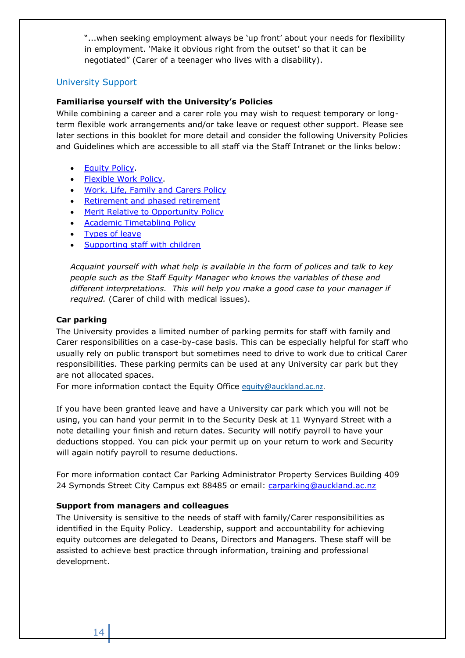"...when seeking employment always be 'up front' about your needs for flexibility in employment. 'Make it obvious right from the outset' so that it can be negotiated" (Carer of a teenager who lives with a disability).

## University Support

## **Familiarise yourself with the University's Policies**

While combining a career and a carer role you may wish to request temporary or longterm flexible work arrangements and/or take leave or request other support. Please see later sections in this booklet for more detail and consider the following University Policies and Guidelines which are accessible to all staff via the Staff Intranet or the links below:

- **•** Equity Policy
- [Flexible Work Policy.](https://www.auckland.ac.nz/webdav/site/central/shared/about/equal-opportunities/policies-and-guidelines/guidelines-for-flexible-work-arrangements/documents/the-university-of-auckland-flexible-work-policy.pdf)
- [Work, Life, Family and Carers Policy](https://www.auckland.ac.nz/en/about/the-university/how-university-works/policy-and-administration/equity/work--life--family-and-carers-policy--.html)
- [Retirement and phased retirement](https://www.auckland.ac.nz/en/about/the-university/how-university-works/policy-and-administration/human-resources1/emplyment-terms-and-conditions/leaving-employment-at-the-university-policy-and-procedure-.html)
- [Merit Relative to Opportunity Policy](https://www.auckland.ac.nz/en/about/the-university/how-university-works/policy-and-administration/equity/merit-relative-to-opportunity-policy-and-procedures-.html)
- [Academic Timetabling Policy](https://policies.auckland.ac.nz/policies/Policies/policy-display-register/university-academic-timetable-policy.pdf)
- [Types of leave](https://www.staff.auckland.ac.nz/en/human-resources/leave/types-of-leave-and-how-to-apply.html)
- [Supporting staff with children](https://www.auckland.ac.nz/en/about-us/about-the-university/equity-at-the-university/equity-information-for-staff/staff-combining-parenting-and-career/cpc-policies-guidelines-and-resources.html)

*Acquaint yourself with what help is available in the form of polices and talk to key people such as the Staff Equity Manager who knows the variables of these and different interpretations. This will help you make a good case to your manager if required.* (Carer of child with medical issues).

## **Car parking**

The University provides a limited number of parking permits for staff with family and Carer responsibilities on a case-by-case basis. This can be especially helpful for staff who usually rely on public transport but sometimes need to drive to work due to critical Carer responsibilities. These parking permits can be used at any University car park but they are not allocated spaces.

For more information contact the Equity Office [equity@auckland.ac.nz.](mailto:equity@auckland.ac.nz)

If you have been granted leave and have a University car park which you will not be using, you can hand your permit in to the Security Desk at 11 Wynyard Street with a note detailing your finish and return dates. Security will notify payroll to have your deductions stopped. You can pick your permit up on your return to work and Security will again notify payroll to resume deductions.

For more information contact Car Parking Administrator Property Services Building 409 24 Symonds Street City Campus ext 88485 or email: [carparking@auckland.ac.nz](mailto:carparking@auckland.ac.nz)

## **Support from managers and colleagues**

The University is sensitive to the needs of staff with family/Carer responsibilities as identified in the Equity Policy. Leadership, support and accountability for achieving equity outcomes are delegated to Deans, Directors and Managers. These staff will be assisted to achieve best practice through information, training and professional development.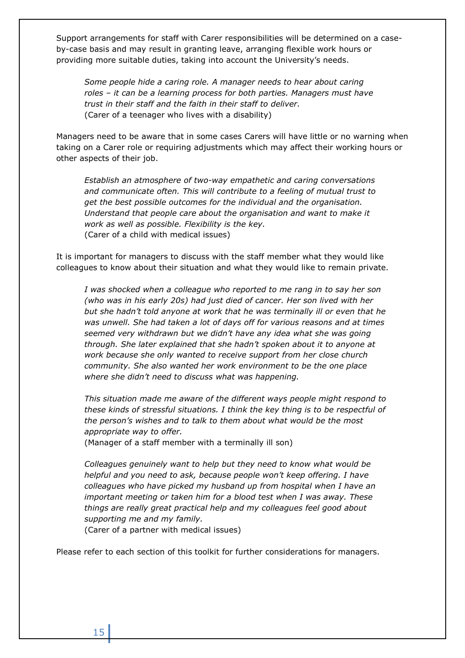Support arrangements for staff with Carer responsibilities will be determined on a caseby-case basis and may result in granting leave, arranging flexible work hours or providing more suitable duties, taking into account the University's needs.

*Some people hide a caring role. A manager needs to hear about caring roles – it can be a learning process for both parties. Managers must have trust in their staff and the faith in their staff to deliver.* (Carer of a teenager who lives with a disability)

Managers need to be aware that in some cases Carers will have little or no warning when taking on a Carer role or requiring adjustments which may affect their working hours or other aspects of their job.

*Establish an atmosphere of two-way empathetic and caring conversations and communicate often. This will contribute to a feeling of mutual trust to get the best possible outcomes for the individual and the organisation. Understand that people care about the organisation and want to make it work as well as possible. Flexibility is the key.* (Carer of a child with medical issues)

It is important for managers to discuss with the staff member what they would like colleagues to know about their situation and what they would like to remain private.

*I was shocked when a colleague who reported to me rang in to say her son (who was in his early 20s) had just died of cancer. Her son lived with her but she hadn't told anyone at work that he was terminally ill or even that he was unwell. She had taken a lot of days off for various reasons and at times seemed very withdrawn but we didn't have any idea what she was going through. She later explained that she hadn't spoken about it to anyone at work because she only wanted to receive support from her close church community. She also wanted her work environment to be the one place where she didn't need to discuss what was happening.* 

*This situation made me aware of the different ways people might respond to these kinds of stressful situations. I think the key thing is to be respectful of the person's wishes and to talk to them about what would be the most appropriate way to offer.*

(Manager of a staff member with a terminally ill son)

*Colleagues genuinely want to help but they need to know what would be helpful and you need to ask, because people won't keep offering. I have colleagues who have picked my husband up from hospital when I have an important meeting or taken him for a blood test when I was away. These things are really great practical help and my colleagues feel good about supporting me and my family.*

(Carer of a partner with medical issues)

Please refer to each section of this toolkit for further considerations for managers.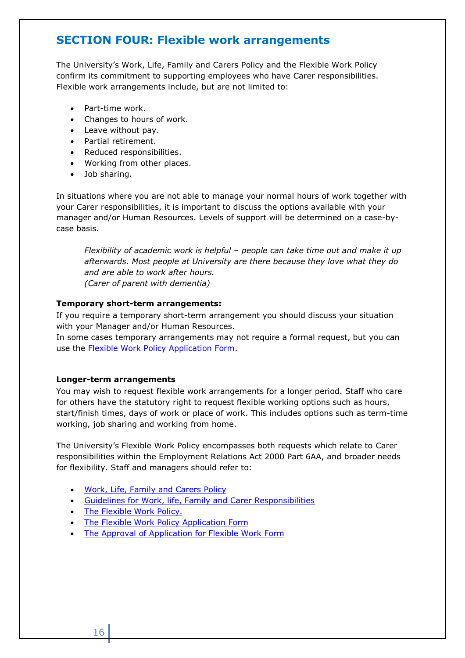# <span id="page-15-0"></span>**SECTION FOUR: Flexible work arrangements**

The University's Work, Life, Family and Carers Policy and the [Flexible Work Policy](http://web.auckland.ac.nz/uoa/fms/secure/staff/policies/hr/docs/Equal%20employment%20opportunities/Flexible%20Work%20Policy.doc) confirm its commitment to supporting employees who have Carer responsibilities. Flexible work arrangements include, but are not limited to:

- Part-time work.
- Changes to hours of work.
- Leave without pay.
- Partial retirement.
- Reduced responsibilities.
- Working from other places.
- Job sharing.

In situations where you are not able to manage your normal hours of work together with your Carer responsibilities, it is important to discuss the options available with your manager and/or Human Resources. Levels of support will be determined on a case-bycase basis.

*Flexibility of academic work is helpful – people can take time out and make it up afterwards. Most people at University are there because they love what they do and are able to work after hours. (Carer of parent with dementia)*

## **Temporary short-term arrangements:**

If you require a temporary short-term arrangement you should discuss your situation with your Manager and/or Human Resources.

In some cases temporary arrangements may not require a formal request, but you can use the [Flexible Work Policy Application Form.](http://www.auckland.ac.nz/webdav/site/central/shared/about/equal-opportunities/policies-and-guidelines/guidelines-for-flexible-work-arrangements/documents/2008-11-flexible-work-arrangements-form.pdf)

## **Longer-term arrangements**

You may wish to request flexible work arrangements for a longer period. Staff who care for others have the statutory right to request flexible working options such as hours, start/finish times, days of work or place of work. This includes options such as term-time working, job sharing and working from home.

The University's Flexible Work Policy encompasses both requests which relate to Carer responsibilities within the Employment Relations Act 2000 Part 6AA, and broader needs for flexibility. Staff and managers should refer to:

- [Work, Life, Family and Carers Policy](https://www.auckland.ac.nz/en/about/the-university/how-university-works/policy-and-administration/equity/work--life--family-and-carers-policy--.html)
- [Guidelines for Work, life, Family and Carer Responsibilities](http://www.auckland.ac.nz/uoa/eo-guidelines-for-leave-for-work-life-and-family)
- The Flexible Work Policy.
- The Flexible Work Policy Application Form
- [The Approval of Application](http://www.auckland.ac.nz/webdav/site/central/shared/about/equal-opportunities/Flexible%20Work%20Policy%20Approval%20Form.pdf) for Flexible Work Form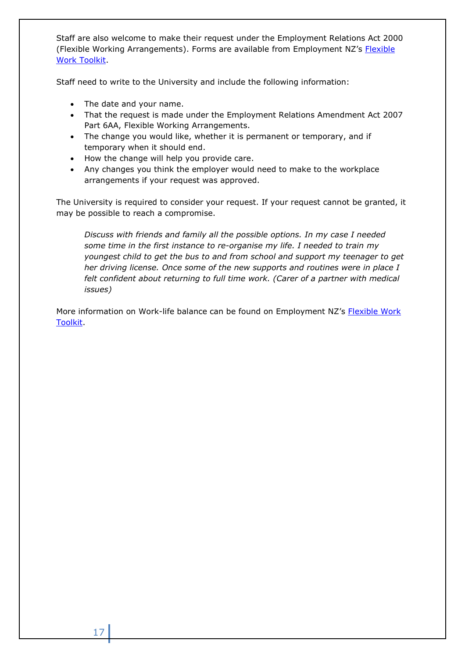Staff are also welcome to make their request under the Employment Relations Act 2000 ([Flexible](https://www.employment.govt.nz/assets/Uploads/tools-and-resources/publications/flexible-work-toolkit.pdf) Working Arrangements). Forms are available from Employment NZ's Flexible [Work Toolkit.](https://www.employment.govt.nz/assets/Uploads/tools-and-resources/publications/flexible-work-toolkit.pdf)

Staff need to write to the University and include the following information:

- The date and your name.
- That the request is made under the Employment Relations Amendment Act 2007 Part 6AA, Flexible Working Arrangements.
- The change you would like, whether it is permanent or temporary, and if temporary when it should end.
- How the change will help you provide care.
- Any changes you think the employer would need to make to the workplace arrangements if your request was approved.

The University is required to consider your request. If your request cannot be granted, it may be possible to reach a compromise.

*Discuss with friends and family all the possible options. In my case I needed some time in the first instance to re-organise my life. I needed to train my youngest child to get the bus to and from school and support my teenager to get her driving license. Once some of the new supports and routines were in place I felt confident about returning to full time work. (Carer of a partner with medical issues)*

More information on Work-life balance can be found on Employment NZ's Flexible Work [Toolkit.](https://www.employment.govt.nz/assets/Uploads/tools-and-resources/publications/flexible-work-toolkit.pdf)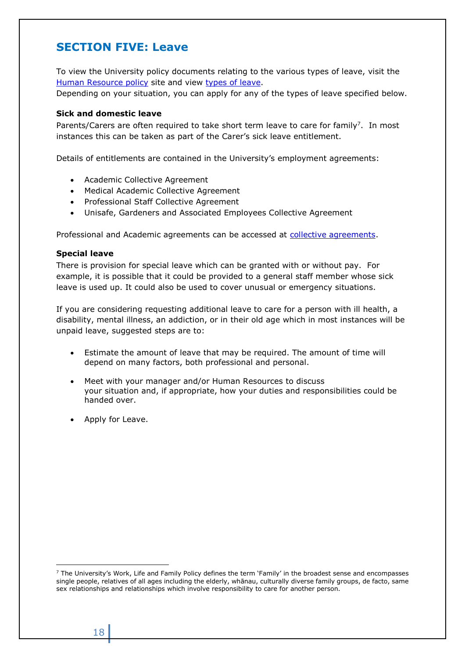# <span id="page-17-0"></span>**SECTION FIVE: Leave**

To view the University policy documents relating to the various types of leave, visit the [Human Resource policy](https://policies.auckland.ac.nz/policies/Policies/staff-hr.aspx) site and view [types of leave.](https://www.staff.auckland.ac.nz/en/human-resources/leave/types-of-leave-and-how-to-apply.html)

Depending on your situation, you can apply for any of the types of leave specified below.

## <span id="page-17-1"></span>**Sick and domestic leave**

Parents/Carers are often required to take short term leave to care for family<sup>7</sup>. In most instances this can be taken as part of the Carer's sick leave entitlement.

Details of entitlements are contained in the University's employment agreements:

- Academic Collective Agreement
- Medical Academic Collective Agreement
- Professional Staff Collective Agreement
- Unisafe, Gardeners and Associated Employees Collective Agreement

Professional and Academic agreements can be accessed at [collective agreements.](https://www.staff.auckland.ac.nz/en/human-resources/employment-agreements.html)

## <span id="page-17-2"></span>**Special leave**

There is provision for special leave which can be granted with or without pay. For example, it is possible that it could be provided to a general staff member whose sick leave is used up. It could also be used to cover unusual or emergency situations.

If you are considering requesting additional leave to care for a person with ill health, a disability, mental illness, an addiction, or in their old age which in most instances will be unpaid leave, suggested steps are to:

- Estimate the amount of leave that may be required. The amount of time will depend on many factors, both professional and personal.
- Meet with your manager and/or Human Resources to discuss your situation and, if appropriate, how your duties and responsibilities could be handed over.
- Apply for Leave.

-

<sup>&</sup>lt;sup>7</sup> The University's Work, Life and Family Policy defines the term 'Family' in the broadest sense and encompasses single people, relatives of all ages including the elderly, whānau, culturally diverse family groups, de facto, same sex relationships and relationships which involve responsibility to care for another person.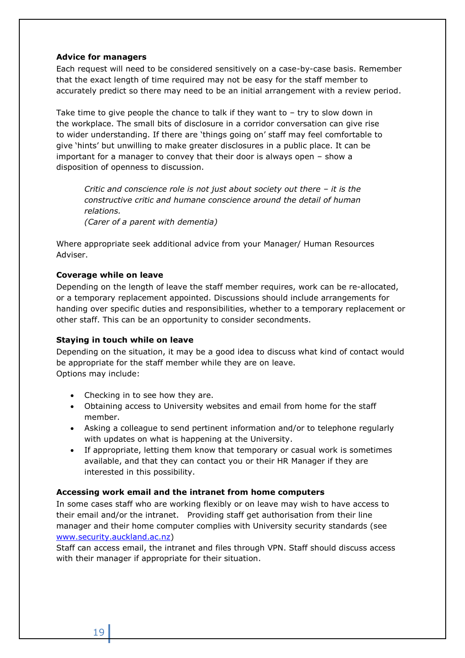## <span id="page-18-0"></span>**Advice for managers**

Each request will need to be considered sensitively on a case-by-case basis. Remember that the exact length of time required may not be easy for the staff member to accurately predict so there may need to be an initial arrangement with a review period.

Take time to give people the chance to talk if they want to  $-$  try to slow down in the workplace. The small bits of disclosure in a corridor conversation can give rise to wider understanding. If there are 'things going on' staff may feel comfortable to give 'hints' but unwilling to make greater disclosures in a public place. It can be important for a manager to convey that their door is always open – show a disposition of openness to discussion.

*Critic and conscience role is not just about society out there – it is the constructive critic and humane conscience around the detail of human relations. (Carer of a parent with dementia)*

Where appropriate seek additional advice from your Manager/ Human Resources Adviser.

## **Coverage while on leave**

Depending on the length of leave the staff member requires, work can be re-allocated, or a temporary replacement appointed. Discussions should include arrangements for handing over specific duties and responsibilities, whether to a temporary replacement or other staff. This can be an opportunity to consider secondments.

## **Staying in touch while on leave**

Depending on the situation, it may be a good idea to discuss what kind of contact would be appropriate for the staff member while they are on leave. Options may include:

- Checking in to see how they are.
- Obtaining access to University websites and email from home for the staff member.
- Asking a colleague to send pertinent information and/or to telephone regularly with updates on what is happening at the University.
- If appropriate, letting them know that temporary or casual work is sometimes available, and that they can contact you or their HR Manager if they are interested in this possibility.

## **Accessing work email and the intranet from home computers**

In some cases staff who are working flexibly or on leave may wish to have access to their email and/or the intranet. Providing staff get authorisation from their line manager and their home computer complies with University security standards (see [www.security.auckland.ac.nz\)](http://www.security.auckland.ac.nz/)

Staff can access email, the intranet and files through VPN. Staff should discuss access with their manager if appropriate for their situation.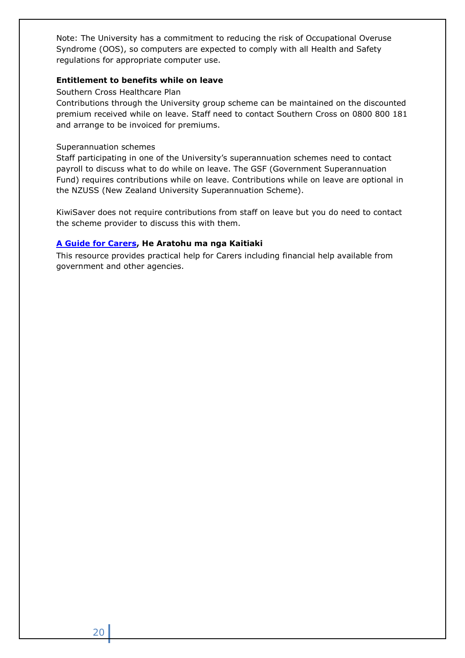Note: The University has a commitment to reducing the risk of Occupational Overuse Syndrome (OOS), so computers are expected to comply with all Health and Safety regulations for appropriate computer use.

## **Entitlement to benefits while on leave**

## Southern Cross Healthcare Plan

Contributions through the University group scheme can be maintained on the discounted premium received while on leave. Staff need to contact Southern Cross on 0800 800 181 and arrange to be invoiced for premiums.

## Superannuation schemes

Staff participating in one of the University's superannuation schemes need to contact payroll to discuss what to do while on leave. The GSF (Government Superannuation Fund) requires contributions while on leave. Contributions while on leave are optional in the NZUSS (New Zealand University Superannuation Scheme).

KiwiSaver does not require contributions from staff on leave but you do need to contact the scheme provider to discuss this with them.

## **[A Guide for Carers,](http://www.msd.govt.nz/documents/what-we-can-do/community/carers/carers-brochure-english.pdf) He Aratohu ma nga Kaitiaki**

This resource provides practical help for Carers including financial help available from government and other agencies.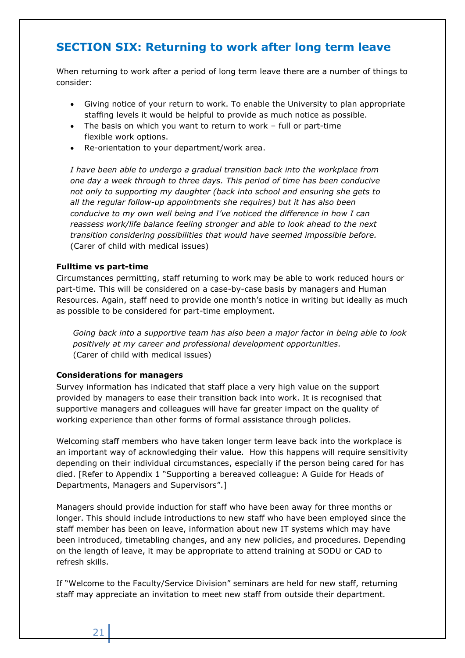# <span id="page-20-0"></span>**SECTION SIX: Returning to work after long term leave**

When returning to work after a period of long term leave there are a number of things to consider:

- Giving notice of your return to work. To enable the University to plan appropriate staffing levels it would be helpful to provide as much notice as possible.
- The basis on which you want to return to work full or part-time flexible work options.
- Re-orientation to your department/work area.

*I have been able to undergo a gradual transition back into the workplace from one day a week through to three days. This period of time has been conducive not only to supporting my daughter (back into school and ensuring she gets to all the regular follow-up appointments she requires) but it has also been conducive to my own well being and I've noticed the difference in how I can reassess work/life balance feeling stronger and able to look ahead to the next transition considering possibilities that would have seemed impossible before.* (Carer of child with medical issues)

## **Fulltime vs part-time**

Circumstances permitting, staff returning to work may be able to work reduced hours or part-time. This will be considered on a case-by-case basis by managers and Human Resources. Again, staff need to provide one month's notice in writing but ideally as much as possible to be considered for part-time employment.

*Going back into a supportive team has also been a major factor in being able to look positively at my career and professional development opportunities.* (Carer of child with medical issues)

## **Considerations for managers**

Survey information has indicated that staff place a very high value on the support provided by managers to ease their transition back into work. It is recognised that supportive managers and colleagues will have far greater impact on the quality of working experience than other forms of formal assistance through policies.

Welcoming staff members who have taken longer term leave back into the workplace is an important way of acknowledging their value. How this happens will require sensitivity depending on their individual circumstances, especially if the person being cared for has died. [Refer to Appendix 1 "Supporting a bereaved colleague: A Guide for Heads of Departments, Managers and Supervisors".]

Managers should provide induction for staff who have been away for three months or longer. This should include introductions to new staff who have been employed since the staff member has been on leave, information about new IT systems which may have been introduced, timetabling changes, and any new policies, and procedures. Depending on the length of leave, it may be appropriate to attend training at SODU or CAD to refresh skills.

If "Welcome to the Faculty/Service Division" seminars are held for new staff, returning staff may appreciate an invitation to meet new staff from outside their department.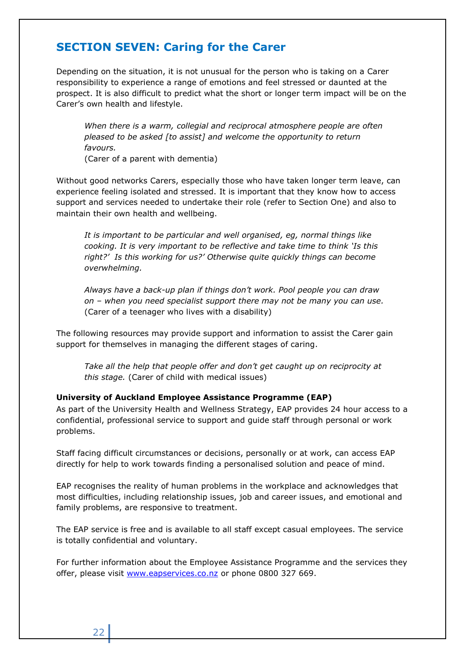# <span id="page-21-0"></span>**SECTION SEVEN: Caring for the Carer**

Depending on the situation, it is not unusual for the person who is taking on a Carer responsibility to experience a range of emotions and feel stressed or daunted at the prospect. It is also difficult to predict what the short or longer term impact will be on the Carer's own health and lifestyle.

*When there is a warm, collegial and reciprocal atmosphere people are often pleased to be asked [to assist] and welcome the opportunity to return favours.*

(Carer of a parent with dementia)

Without good networks Carers, especially those who have taken longer term leave, can experience feeling isolated and stressed. It is important that they know how to access support and services needed to undertake their role (refer to Section One) and also to maintain their own health and wellbeing.

*It is important to be particular and well organised, eg, normal things like cooking. It is very important to be reflective and take time to think 'Is this right?' Is this working for us?' Otherwise quite quickly things can become overwhelming.*

*Always have a back-up plan if things don't work. Pool people you can draw on – when you need specialist support there may not be many you can use.* (Carer of a teenager who lives with a disability)

The following resources may provide support and information to assist the Carer gain support for themselves in managing the different stages of caring.

Take all the help that people offer and don't get caught up on reciprocity at *this stage.* (Carer of child with medical issues)

## **University of Auckland Employee Assistance Programme (EAP)**

As part of the University Health and Wellness Strategy, EAP provides 24 hour access to a confidential, professional service to support and guide staff through personal or work problems.

Staff facing difficult circumstances or decisions, personally or at work, can access EAP directly for help to work towards finding a personalised solution and peace of mind.

EAP recognises the reality of human problems in the workplace and acknowledges that most difficulties, including relationship issues, job and career issues, and emotional and family problems, are responsive to treatment.

The EAP service is free and is available to all staff except casual employees. The service is totally confidential and voluntary.

For further information about the Employee Assistance Programme and the services they offer, please visit [www.eapservices.co.nz](http://www.eapservices.co.nz/) or phone 0800 327 669.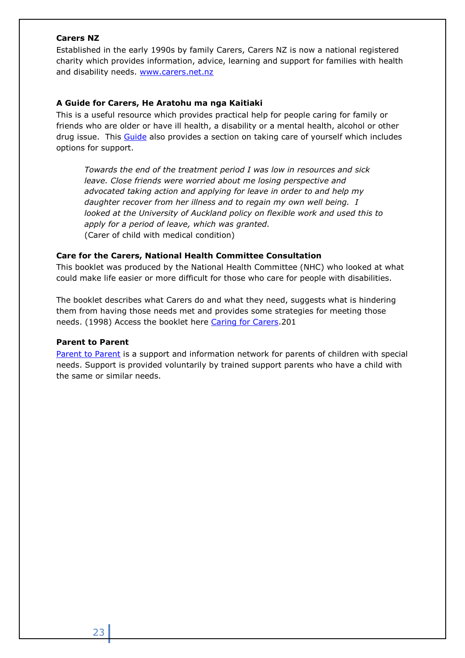## **Carers NZ**

Established in the early 1990s by family Carers, Carers NZ is now a national registered charity which provides information, advice, learning and support for families with health and disability needs. [www.carers.net.nz](http://www.carers.net.nz/)

## **A Guide for Carers, He Aratohu ma nga Kaitiaki**

This is a useful resource which provides practical help for people caring for family or friends who are older or have ill health, a disability or a mental health, alcohol or other drug issue. This [Guide](http://www.caringforcarers.org.nz/) also provides a section on taking care of yourself which includes options for support.

*Towards the end of the treatment period I was low in resources and sick leave. Close friends were worried about me losing perspective and advocated taking action and applying for leave in order to and help my daughter recover from her illness and to regain my own well being. I looked at the University of Auckland policy on flexible work and used this to apply for a period of leave, which was granted.* (Carer of child with medical condition)

## **Care for the Carers, National Health Committee Consultation**

This booklet was produced by the National Health Committee (NHC) who looked at what could make life easier or more difficult for those who care for people with disabilities.

The booklet describes what Carers do and what they need, suggests what is hindering them from having those needs met and provides some strategies for meeting those needs. (1998) Access the booklet here [Caring for Carers.](http://www.caringforcarers.org.nz/)201

## **Parent to Parent**

[Parent to Parent](https://parent2parent.org.nz/) is a support and information network for parents of children with special needs. Support is provided voluntarily by trained support parents who have a child with the same or similar needs.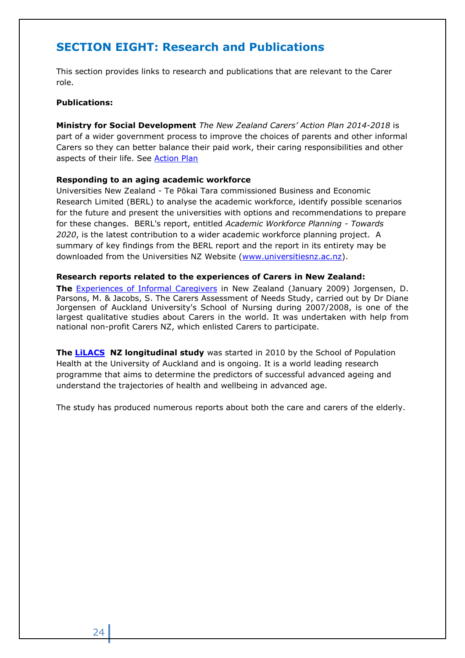# <span id="page-23-0"></span>**SECTION EIGHT: Research and Publications**

This section provides links to research and publications that are relevant to the Carer role.

#### **Publications:**

**Ministry for Social Development** *The New Zealand Carers' Action Plan 2014-2018* is part of a wider government process to improve the choices of parents and other informal Carers so they can better balance their paid work, their caring responsibilities and other aspects of their life. See **Action Plan** 

#### **Responding to an aging academic workforce**

Universities New Zealand - Te Pōkai Tara commissioned Business and Economic Research Limited (BERL) to analyse the academic workforce, identify possible scenarios for the future and present the universities with options and recommendations to prepare for these changes. BERL's report, entitled *Academic Workforce Planning - Towards 2020*, is the latest contribution to a wider academic workforce planning project. A summary of key findings from the BERL report and the report in its entirety may be downloaded from the Universities NZ Website [\(www.universitiesnz.ac.nz\)](http://www.universitiesnz.ac.nz/).

#### **Research reports related to the experiences of Carers in New Zealand:**

**The** [Experiences of Informal Caregivers](https://www.nzma.org.nz/journal/read-the-journal/all-issues/2010-2019/2010/vol-123-no-1317/article-jorgensen) in New Zealand (January 2009) Jorgensen, D. Parsons, M. & Jacobs, S. The Carers Assessment of Needs Study, carried out by Dr Diane Jorgensen of Auckland University's School of Nursing during 2007/2008, is one of the largest qualitative studies about Carers in the world. It was undertaken with help from national non-profit Carers NZ, which enlisted Carers to participate.

**The [LiLACS](https://www.fmhs.auckland.ac.nz/en/faculty/lilacs/research/publications.html) NZ longitudinal study** was started in 2010 by the School of Population Health at the University of Auckland and is ongoing. It is a world leading research programme that aims to determine the predictors of successful advanced ageing and understand the trajectories of health and wellbeing in advanced age.

The study has produced numerous reports about both the care and carers of the elderly.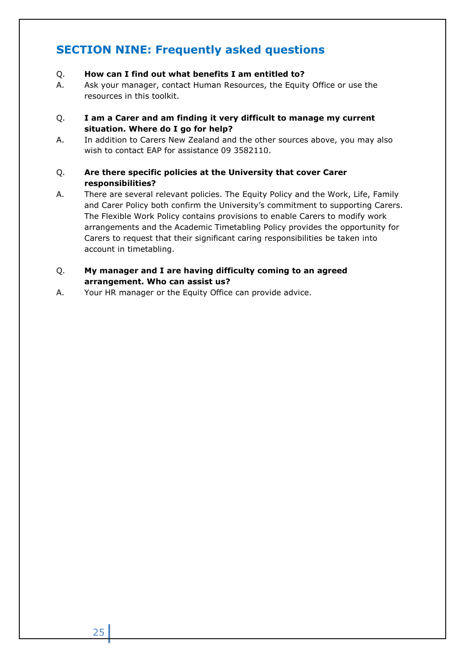# <span id="page-24-0"></span>**SECTION NINE: Frequently asked questions**

- Q. **How can I find out what benefits I am entitled to?**
- A. Ask your manager, contact Human Resources, the Equity Office or use the resources in this toolkit.
- Q. **I am a Carer and am finding it very difficult to manage my current situation. Where do I go for help?**
- A. In addition to Carers New Zealand and the other sources above, you may also wish to contact EAP for assistance 09 3582110.
- Q. **Are there specific policies at the University that cover Carer responsibilities?**
- A. There are several relevant policies. The Equity Policy and the Work, Life, Family and Carer Policy both confirm the University's commitment to supporting Carers. The Flexible Work Policy contains provisions to enable Carers to modify work arrangements and the Academic Timetabling Policy provides the opportunity for Carers to request that their significant caring responsibilities be taken into account in timetabling.
- Q. **My manager and I are having difficulty coming to an agreed arrangement. Who can assist us?**
- A. Your HR manager or the Equity Office can provide advice.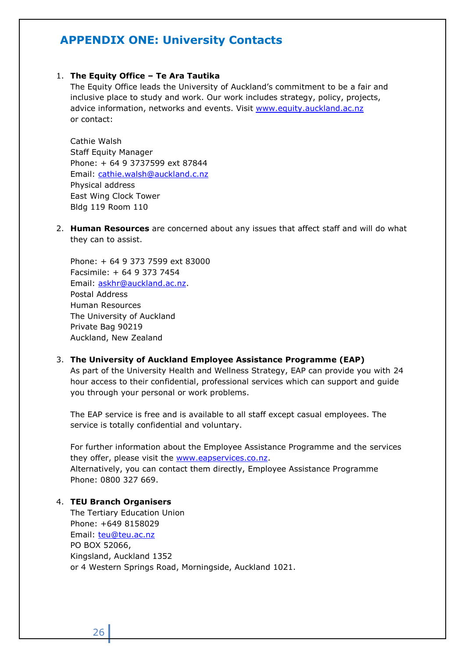# <span id="page-25-0"></span>**APPENDIX ONE: University Contacts**

## 1. **The Equity Office – Te Ara Tautika**

The Equity Office leads the University of Auckland's commitment to be a fair and inclusive place to study and work. Our work includes strategy, policy, projects, advice information, networks and events. Visit [www.equity.auckland.ac.nz](http://www.equity.auckland.ac.nz/) or contact:

Cathie Walsh Staff Equity Manager Phone: + 64 9 3737599 ext 87844 Email: [cathie.walsh@auckland.c.nz](mailto:cathie.walsh@auckland.c.nz) Physical address East Wing Clock Tower Bldg 119 Room 110

2. **Human Resources** are concerned about any issues that affect staff and will do what they can to assist.

Phone: + 64 9 373 7599 ext 83000 Facsimile: + 64 9 373 7454 Email: [askhr@auckland.ac.nz.](mailto:askhr@auckland.ac.nz) Postal Address Human Resources The University of Auckland Private Bag 90219 Auckland, New Zealand

#### 3. **The University of Auckland Employee Assistance Programme (EAP)**

As part of the University Health and Wellness Strategy, EAP can provide you with 24 hour access to their confidential, professional services which can support and guide you through your personal or work problems.

The EAP service is free and is available to all staff except casual employees. The service is totally confidential and voluntary.

For further information about the Employee Assistance Programme and the services they offer, please visit the [www.eapservices.co.nz.](http://www.eapservices.co.nz/) Alternatively, you can contact them directly, Employee Assistance Programme Phone: 0800 327 669.

## 4. **TEU Branch Organisers**

The Tertiary Education Union Phone: +649 8158029 Email: [teu@teu.ac.nz](mailto:teu@teu.ac.nz) PO BOX 52066, Kingsland, Auckland 1352 or 4 Western Springs Road, Morningside, Auckland 1021.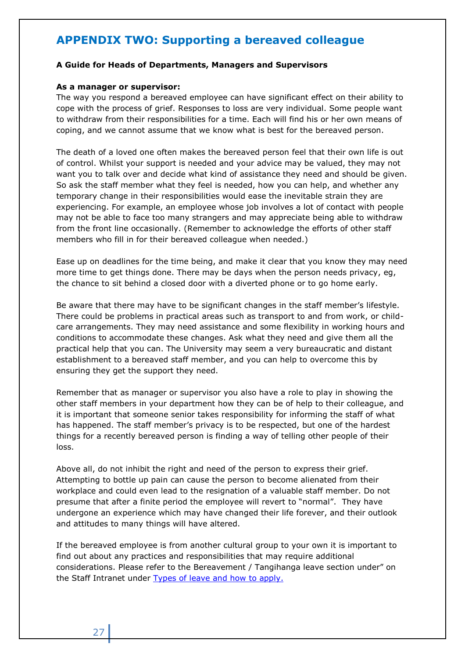# <span id="page-26-0"></span>**APPENDIX TWO: Supporting a bereaved colleague**

#### **A Guide for Heads of Departments, Managers and Supervisors**

#### **As a manager or supervisor:**

The way you respond a bereaved employee can have significant effect on their ability to cope with the process of grief. Responses to loss are very individual. Some people want to withdraw from their responsibilities for a time. Each will find his or her own means of coping, and we cannot assume that we know what is best for the bereaved person.

The death of a loved one often makes the bereaved person feel that their own life is out of control. Whilst your support is needed and your advice may be valued, they may not want you to talk over and decide what kind of assistance they need and should be given. So ask the staff member what they feel is needed, how you can help, and whether any temporary change in their responsibilities would ease the inevitable strain they are experiencing. For example, an employee whose job involves a lot of contact with people may not be able to face too many strangers and may appreciate being able to withdraw from the front line occasionally. (Remember to acknowledge the efforts of other staff members who fill in for their bereaved colleague when needed.)

Ease up on deadlines for the time being, and make it clear that you know they may need more time to get things done. There may be days when the person needs privacy, eg, the chance to sit behind a closed door with a diverted phone or to go home early.

Be aware that there may have to be significant changes in the staff member's lifestyle. There could be problems in practical areas such as transport to and from work, or childcare arrangements. They may need assistance and some flexibility in working hours and conditions to accommodate these changes. Ask what they need and give them all the practical help that you can. The University may seem a very bureaucratic and distant establishment to a bereaved staff member, and you can help to overcome this by ensuring they get the support they need.

Remember that as manager or supervisor you also have a role to play in showing the other staff members in your department how they can be of help to their colleague, and it is important that someone senior takes responsibility for informing the staff of what has happened. The staff member's privacy is to be respected, but one of the hardest things for a recently bereaved person is finding a way of telling other people of their loss.

Above all, do not inhibit the right and need of the person to express their grief. Attempting to bottle up pain can cause the person to become alienated from their workplace and could even lead to the resignation of a valuable staff member. Do not presume that after a finite period the employee will revert to "normal". They have undergone an experience which may have changed their life forever, and their outlook and attitudes to many things will have altered.

If the bereaved employee is from another cultural group to your own it is important to find out about any practices and responsibilities that may require additional considerations. Please refer to the Bereavement / Tangihanga leave section under" on the Staff Intranet under [Types of leave and how to apply.](https://www.staff.auckland.ac.nz/en/human-resources/leave/types-of-leave-and-how-to-apply.html)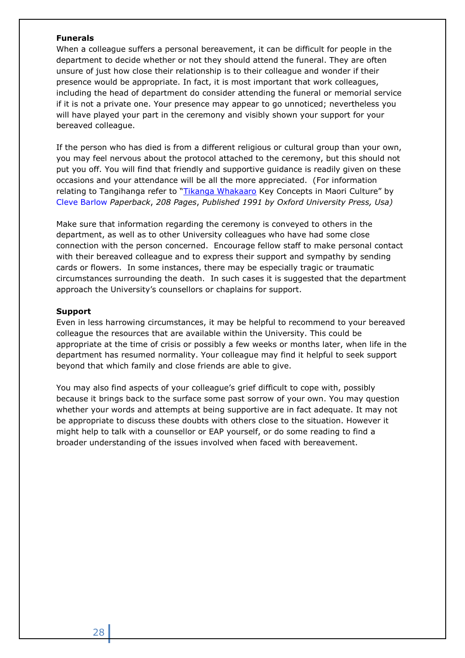## **Funerals**

When a colleague suffers a personal bereavement, it can be difficult for people in the department to decide whether or not they should attend the funeral. They are often unsure of just how close their relationship is to their colleague and wonder if their presence would be appropriate. In fact, it is most important that work colleagues, including the head of department do consider attending the funeral or memorial service if it is not a private one. Your presence may appear to go unnoticed; nevertheless you will have played your part in the ceremony and visibly shown your support for your bereaved colleague.

If the person who has died is from a different religious or cultural group than your own, you may feel nervous about the protocol attached to the ceremony, but this should not put you off. You will find that friendly and supportive guidance is readily given on these occasions and your attendance will be all the more appreciated. (For information relating to Tangihanga refer to "[Tikanga Whakaaro](http://www.gettextbooks.com/isbn/9780195582123) Key Concepts in Maori Culture" by Cleve [Barlow](http://www.gettextbooks.com/author/Cleve_Barlow) *Paperback*, *208 Pages*, *Published 1991 by Oxford University Press, Usa)*

Make sure that information regarding the ceremony is conveyed to others in the department, as well as to other University colleagues who have had some close connection with the person concerned. Encourage fellow staff to make personal contact with their bereaved colleague and to express their support and sympathy by sending cards or flowers. In some instances, there may be especially tragic or traumatic circumstances surrounding the death. In such cases it is suggested that the department approach the University's counsellors or chaplains for support.

## **Support**

Even in less harrowing circumstances, it may be helpful to recommend to your bereaved colleague the resources that are available within the University. This could be appropriate at the time of crisis or possibly a few weeks or months later, when life in the department has resumed normality. Your colleague may find it helpful to seek support beyond that which family and close friends are able to give.

You may also find aspects of your colleague's grief difficult to cope with, possibly because it brings back to the surface some past sorrow of your own. You may question whether your words and attempts at being supportive are in fact adequate. It may not be appropriate to discuss these doubts with others close to the situation. However it might help to talk with a counsellor or EAP yourself, or do some reading to find a broader understanding of the issues involved when faced with bereavement.